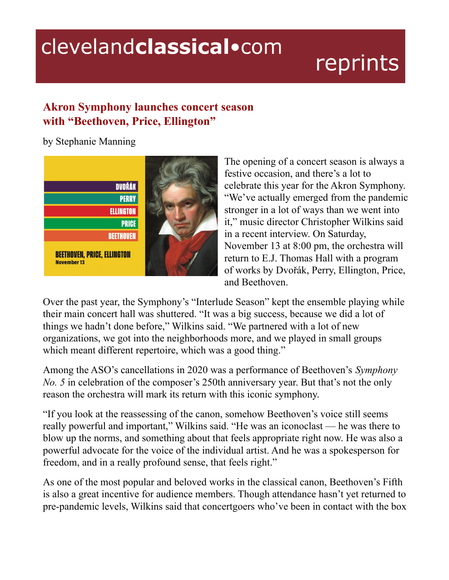## clevelandclassical.com

## reprints

## **Akron Symphony launches concert season with "Beethoven, Price, Ellington"**

by Stephanie Manning



The opening of a concert season is always a festive occasion, and there's a lot to celebrate this year for the Akron Symphony. "We've actually emerged from the pandemic stronger in a lot of ways than we went into it," music director Christopher Wilkins said in a recent interview. On Saturday, November 13 at 8:00 pm, the orchestra will return to E.J. Thomas Hall with a program of works by Dvořák, Perry, Ellington, Price, and Beethoven.

Over the past year, the Symphony's "Interlude Season" kept the ensemble playing while their main concert hall was shuttered. "It was a big success, because we did a lot of things we hadn't done before," Wilkins said. "We partnered with a lot of new organizations, we got into the neighborhoods more, and we played in small groups which meant different repertoire, which was a good thing."

Among the ASO's cancellations in 2020 was a performance of Beethoven's *Symphony No. 5* in celebration of the composer's 250th anniversary year. But that's not the only reason the orchestra will mark its return with this iconic symphony.

"If you look at the reassessing of the canon, somehow Beethoven's voice still seems really powerful and important," Wilkins said. "He was an iconoclast — he was there to blow up the norms, and something about that feels appropriate right now. He was also a powerful advocate for the voice of the individual artist. And he was a spokesperson for freedom, and in a really profound sense, that feels right."

As one of the most popular and beloved works in the classical canon, Beethoven's Fifth is also a great incentive for audience members. Though attendance hasn't yet returned to pre-pandemic levels, Wilkins said that concertgoers who've been in contact with the box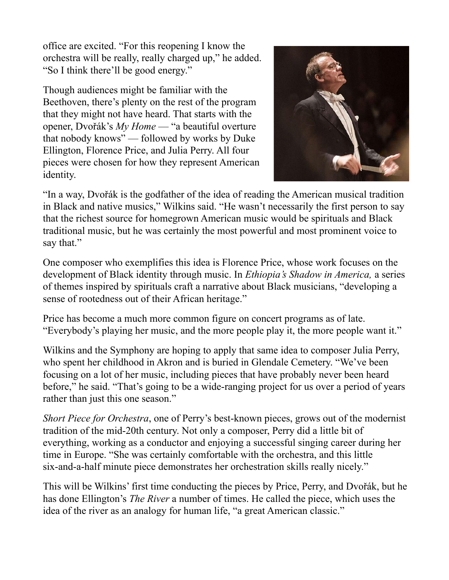office are excited. "For this reopening I know the orchestra will be really, really charged up," he added. "So I think there'll be good energy."

Though audiences might be familiar with the Beethoven, there's plenty on the rest of the program that they might not have heard. That starts with the opener, Dvořák's *My Home* — "a beautiful overture that nobody knows" — followed by works by Duke Ellington, Florence Price, and Julia Perry. All four pieces were chosen for how they represent American identity.



"In a way, Dvořák is the godfather of the idea of reading the American musical tradition in Black and native musics," Wilkins said. "He wasn't necessarily the first person to say that the richest source for homegrown American music would be spirituals and Black traditional music, but he was certainly the most powerful and most prominent voice to say that."

One composer who exemplifies this idea is Florence Price, whose work focuses on the development of Black identity through music. In *Ethiopia's Shadow in America,* a series of themes inspired by spirituals craft a narrative about Black musicians, "developing a sense of rootedness out of their African heritage."

Price has become a much more common figure on concert programs as of late. "Everybody's playing her music, and the more people play it, the more people want it."

Wilkins and the Symphony are hoping to apply that same idea to composer Julia Perry, who spent her childhood in Akron and is buried in Glendale Cemetery. "We've been focusing on a lot of her music, including pieces that have probably never been heard before," he said. "That's going to be a wide-ranging project for us over a period of years rather than just this one season."

*Short Piece for Orchestra*, one of Perry's best-known pieces, grows out of the modernist tradition of the mid-20th century. Not only a composer, Perry did a little bit of everything, working as a conductor and enjoying a successful singing career during her time in Europe. "She was certainly comfortable with the orchestra, and this little six-and-a-half minute piece demonstrates her orchestration skills really nicely."

This will be Wilkins' first time conducting the pieces by Price, Perry, and Dvořák, but he has done Ellington's *The River* a number of times. He called the piece, which uses the idea of the river as an analogy for human life, "a great American classic."